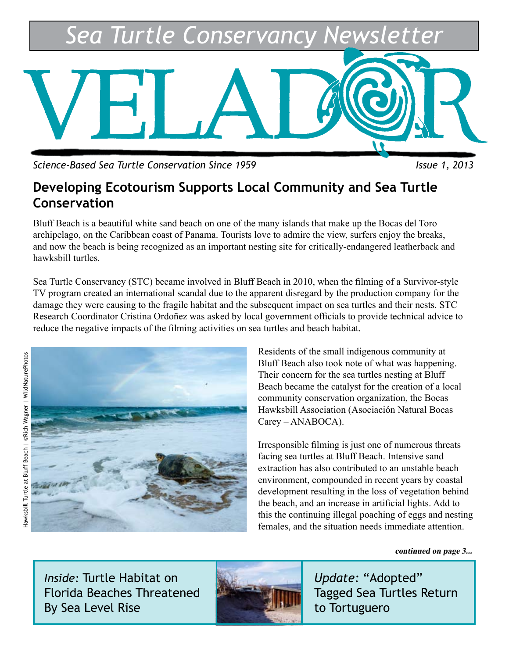

*Science-Based Sea Turtle Conservation Since 1959* Intervalse and Issue 1, 2013

### **Developing Ecotourism Supports Local Community and Sea Turtle Conservation**

Bluff Beach is a beautiful white sand beach on one of the many islands that make up the Bocas del Toro archipelago, on the Caribbean coast of Panama. Tourists love to admire the view, surfers enjoy the breaks, and now the beach is being recognized as an important nesting site for critically-endangered leatherback and hawksbill turtles.

Sea Turtle Conservancy (STC) became involved in Bluff Beach in 2010, when the filming of a Survivor-style TV program created an international scandal due to the apparent disregard by the production company for the damage they were causing to the fragile habitat and the subsequent impact on sea turtles and their nests. STC Research Coordinator Cristina Ordoñez was asked by local government officials to provide technical advice to reduce the negative impacts of the filming activities on sea turtles and beach habitat.



Residents of the small indigenous community at Bluff Beach also took note of what was happening. Their concern for the sea turtles nesting at Bluff Beach became the catalyst for the creation of a local community conservation organization, the Bocas Hawksbill Association (Asociación Natural Bocas Carey – ANABOCA).

Irresponsible filming is just one of numerous threats facing sea turtles at Bluff Beach. Intensive sand extraction has also contributed to an unstable beach environment, compounded in recent years by coastal development resulting in the loss of vegetation behind the beach, and an increase in artificial lights. Add to this the continuing illegal poaching of eggs and nesting females, and the situation needs immediate attention.

**continued on page 3...**

*Inside:* Turtle Habitat on Florida Beaches Threatened By Sea Level Rise



*Update:* "Adopted" Tagged Sea Turtles Return to Tortuguero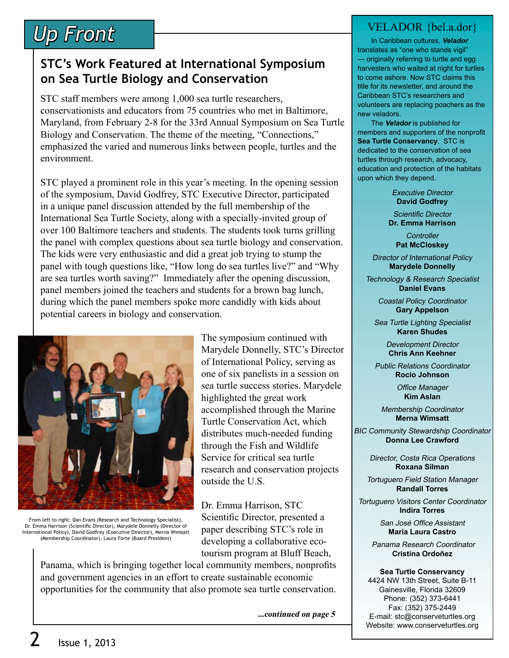# *Up Front*

### **STC's Work Featured at International Symposium on Sea Turtle Biology and Conservation**

STC staff members were among 1,000 sea turtle researchers, conservationists and educators from 75 countries who met in Baltimore, Maryland, from February 2-8 for the 33rd Annual Symposium on Sea Turtle Biology and Conservation. The theme of the meeting, "Connections," emphasized the varied and numerous links between people, turtles and the environment.

STC played a prominent role in this year's meeting. In the opening session of the symposium, David Godfrey, STC Executive Director, participated in a unique panel discussion attended by the full membership of the International Sea Turtle Society, along with a specially-invited group of over 100 Baltimore teachers and students. The students took turns grilling the panel with complex questions about sea turtle biology and conservation. The kids were very enthusiastic and did a great job trying to stump the panel with tough questions like, "How long do sea turtles live?" and "Why are sea turtles worth saving?" Immediately after the opening discussion, panel members joined the teachers and students for a brown bag lunch, during which the panel members spoke more candidly with kids about potential careers in biology and conservation.



From left to right: Dan Evans (Research and Technology Specialist), Dr. Emma Harrison (Scientific Director), Marydele Donnelly (Director of International Policy), David Godfrey (Executive Director), Merna Wimsatt (Membership Coordinator), Laura Forte (Board President)

tourism program at Bluff Beach, Panama, which is bringing together local community members, nonprofits and government agencies in an effort to create sustainable economic opportunities for the community that also promote sea turtle conservation.

**...continued on page 5**

paper describing STC's role in developing a collaborative eco-

#### VELADOR {bel.a.dor}

 In Caribbean cultures, **Velador** translates as "one who stands vigil" — originally referring to turtle and egg harvesters who waited at night for turtles to come ashore. Now STC claims this title for its newsletter, and around the Caribbean STC's researchers and volunteers are replacing poachers as the new veladors.

 The **Velador** is published for members and supporters of the nonprofit **Sea Turtle Conservancy**. STC is dedicated to the conservation of sea turtles through research, advocacy, education and protection of the habitats upon which they depend.

> Executive Director **David Godfrey**

Scientific Director **Dr. Emma Harrison**

**Controller Pat McCloskey**

Director of International Policy **Marydele Donnelly**

Technology & Research Specialist **Daniel Evans**

> Coastal Policy Coordinator **Gary Appelson**

Sea Turtle Lighting Specialist **Karen Shudes**

> Development Director **Chris Ann Keehner**

Public Relations Coordinator **Rocio Johnson**

> Office Manager **Kim Aslan**

Membership Coordinator **Merna Wimsatt**

BIC Community Stewardship Coordinator **Donna Lee Crawford**

> Director, Costa Rica Operations **Roxana Silman**

Tortuguero Field Station Manager **Randall Torres**

Tortuguero Visitors Center Coordinator **Indira Torres**

> San José Office Assistant **Maria Laura Castro**

Panama Research Coordinator **Cristina Ordoñez**

#### **Sea Turtle Conservancy**

4424 NW 13th Street, Suite B-11 Gainesville, Florida 32609 Phone: (352) 373-6441 Fax: (352) 375-2449 E-mail: stc@conserveturtles.org Website: www.conserveturtles.org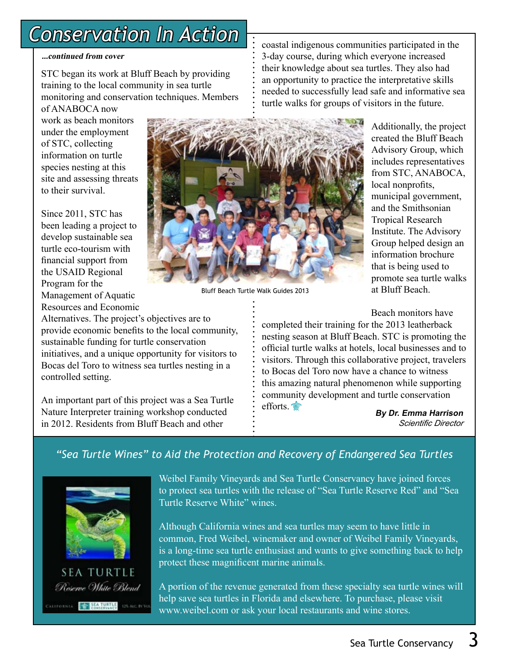### *Conservation In Action*

#### **...continued from cover**

STC began its work at Bluff Beach by providing training to the local community in sea turtle monitoring and conservation techniques. Members

of ANABOCA now work as beach monitors under the employment of STC, collecting information on turtle species nesting at this site and assessing threats to their survival.

Since 2011, STC has been leading a project to develop sustainable sea turtle eco-tourism with financial support from the USAID Regional Program for the Management of Aquatic Resources and Economic

Alternatives. The project's objectives are to provide economic benefits to the local community, sustainable funding for turtle conservation initiatives, and a unique opportunity for visitors to Bocas del Toro to witness sea turtles nesting in a controlled setting.

An important part of this project was a Sea Turtle Nature Interpreter training workshop conducted in 2012. Residents from Bluff Beach and other

coastal indigenous communities participated in the 3-day course, during which everyone increased their knowledge about sea turtles. They also had an opportunity to practice the interpretative skills needed to successfully lead safe and informative sea turtle walks for groups of visitors in the future.

> Additionally, the project created the Bluff Beach Advisory Group, which includes representatives from STC, ANABOCA, local nonprofits, municipal government, and the Smithsonian Tropical Research Institute. The Advisory Group helped design an information brochure that is being used to promote sea turtle walks at Bluff Beach.

Beach monitors have

completed their training for the 2013 leatherback nesting season at Bluff Beach. STC is promoting the official turtle walks at hotels, local businesses and to visitors. Through this collaborative project, travelers to Bocas del Toro now have a chance to witness this amazing natural phenomenon while supporting community development and turtle conservation efforts<sup><sup></sup></sup>

**By Dr. Emma Harrison** *Scientific Director*

#### *"Sea Turtle Wines" to Aid the Protection and Recovery of Endangered Sea Turtles*



**SEA TURTLE** Reserve White Blend ALIFORNIA EL SEA TURTLE

Weibel Family Vineyards and Sea Turtle Conservancy have joined forces to protect sea turtles with the release of "Sea Turtle Reserve Red" and "Sea Turtle Reserve White" wines.

Although California wines and sea turtles may seem to have little in common, Fred Weibel, winemaker and owner of Weibel Family Vineyards, is a long-time sea turtle enthusiast and wants to give something back to help protect these magnificent marine animals.

A portion of the revenue generated from these specialty sea turtle wines will help save sea turtles in Florida and elsewhere. To purchase, please visit www.weibel.com or ask your local restaurants and wine stores.



Bluff Beach Turtle Walk Guides 2013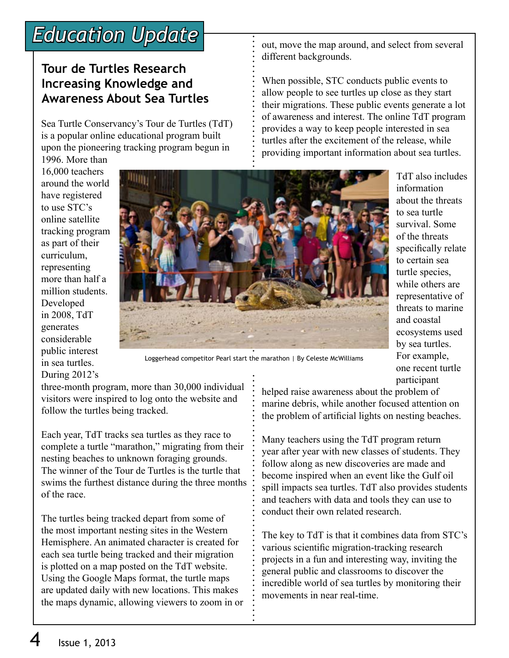### *Education Update*

### **Tour de Turtles Research Increasing Knowledge and Awareness About Sea Turtles**

Sea Turtle Conservancy's Tour de Turtles (TdT) is a popular online educational program built upon the pioneering tracking program begun in

out, move the map around, and select from several different backgrounds.

When possible, STC conducts public events to allow people to see turtles up close as they start their migrations. These public events generate a lot of awareness and interest. The online TdT program provides a way to keep people interested in sea turtles after the excitement of the release, while providing important information about sea turtles.

TdT also includes

information about the threats to sea turtle survival. Some of the threats specifically relate to certain sea turtle species, while others are representative of threats to marine and coastal ecosystems used by sea turtles. For example, one recent turtle

participant

1996. More than 16,000 teachers around the world have registered to use STC's online satellite tracking program as part of their curriculum, representing more than half a million students. Developed in 2008, TdT generates considerable public interest in sea turtles. During 2012's



Loggerhead competitor Pearl start the marathon | By Celeste McWilliams

three-month program, more than 30,000 individual visitors were inspired to log onto the website and follow the turtles being tracked.

Each year, TdT tracks sea turtles as they race to complete a turtle "marathon," migrating from their nesting beaches to unknown foraging grounds. The winner of the Tour de Turtles is the turtle that swims the furthest distance during the three months of the race.

The turtles being tracked depart from some of the most important nesting sites in the Western Hemisphere. An animated character is created for each sea turtle being tracked and their migration is plotted on a map posted on the TdT website. Using the Google Maps format, the turtle maps are updated daily with new locations. This makes the maps dynamic, allowing viewers to zoom in or helped raise awareness about the problem of marine debris, while another focused attention on the problem of artificial lights on nesting beaches.

Many teachers using the TdT program return year after year with new classes of students. They follow along as new discoveries are made and become inspired when an event like the Gulf oil spill impacts sea turtles. TdT also provides students and teachers with data and tools they can use to conduct their own related research.

The key to TdT is that it combines data from STC's various scientific migration-tracking research projects in a fun and interesting way, inviting the general public and classrooms to discover the incredible world of sea turtles by monitoring their movements in near real-time.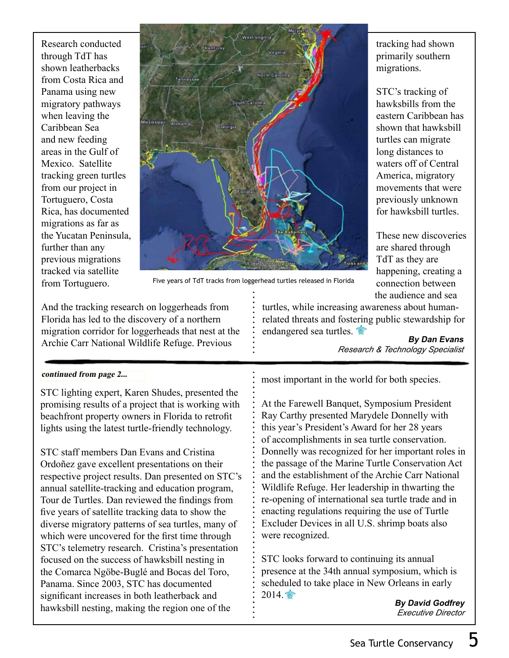Research conducted through TdT has shown leatherbacks from Costa Rica and Panama using new migratory pathways when leaving the Caribbean Sea and new feeding areas in the Gulf of Mexico. Satellite tracking green turtles from our project in Tortuguero, Costa Rica, has documented migrations as far as the Yucatan Peninsula, further than any previous migrations tracked via satellite from Tortuguero.



Five years of TdT tracks from loggerhead turtles released in Florida

And the tracking research on loggerheads from Florida has led to the discovery of a northern migration corridor for loggerheads that nest at the Archie Carr National Wildlife Refuge. Previous

turtles, while increasing awareness about humanrelated threats and fostering public stewardship for endangered sea turtles.

**By Dan Evans** *Research & Technology Specialist*

#### **continued from page 2...**

STC lighting expert, Karen Shudes, presented the promising results of a project that is working with beachfront property owners in Florida to retrofit lights using the latest turtle-friendly technology.

STC staff members Dan Evans and Cristina Ordoñez gave excellent presentations on their respective project results. Dan presented on STC's annual satellite-tracking and education program, Tour de Turtles. Dan reviewed the findings from five years of satellite tracking data to show the diverse migratory patterns of sea turtles, many of which were uncovered for the first time through STC's telemetry research. Cristina's presentation focused on the success of hawksbill nesting in the Comarca Ngöbe-Buglé and Bocas del Toro, Panama. Since 2003, STC has documented significant increases in both leatherback and hawksbill nesting, making the region one of the

most important in the world for both species.

At the Farewell Banquet, Symposium President Ray Carthy presented Marydele Donnelly with this year's President's Award for her 28 years of accomplishments in sea turtle conservation. Donnelly was recognized for her important roles in the passage of the Marine Turtle Conservation Act and the establishment of the Archie Carr National Wildlife Refuge. Her leadership in thwarting the re-opening of international sea turtle trade and in enacting regulations requiring the use of Turtle Excluder Devices in all U.S. shrimp boats also were recognized.

STC looks forward to continuing its annual presence at the 34th annual symposium, which is scheduled to take place in New Orleans in early  $2014.$ 

**By David Godfrey** *Executive Director*

STC's tracking of hawksbills from the eastern Caribbean has shown that hawksbill turtles can migrate long distances to waters off of Central America, migratory movements that were previously unknown for hawksbill turtles.

These new discoveries are shared through TdT as they are happening, creating a connection between the audience and sea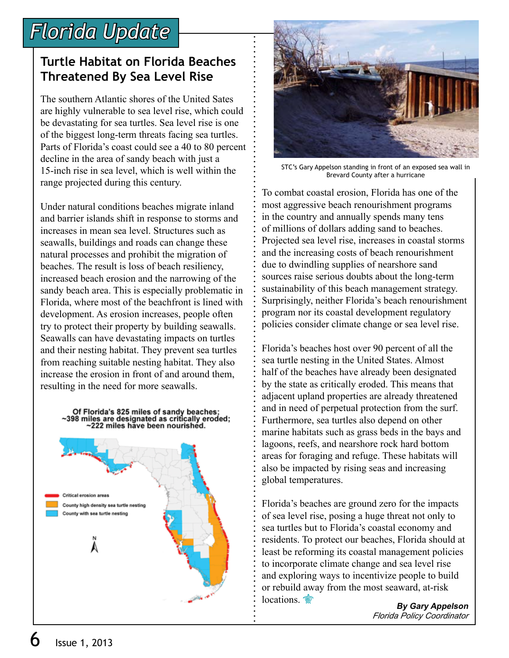# *Florida Update*

### **Turtle Habitat on Florida Beaches Threatened By Sea Level Rise**

The southern Atlantic shores of the United Sates are highly vulnerable to sea level rise, which could be devastating for sea turtles. Sea level rise is one of the biggest long-term threats facing sea turtles. Parts of Florida's coast could see a 40 to 80 percent decline in the area of sandy beach with just a 15-inch rise in sea level, which is well within the range projected during this century.

Under natural conditions beaches migrate inland and barrier islands shift in response to storms and increases in mean sea level. Structures such as seawalls, buildings and roads can change these natural processes and prohibit the migration of beaches. The result is loss of beach resiliency, increased beach erosion and the narrowing of the sandy beach area. This is especially problematic in Florida, where most of the beachfront is lined with development. As erosion increases, people often try to protect their property by building seawalls. Seawalls can have devastating impacts on turtles and their nesting habitat. They prevent sea turtles from reaching suitable nesting habitat. They also increase the erosion in front of and around them, resulting in the need for more seawalls.





STC's Gary Appelson standing in front of an exposed sea wall in Brevard County after a hurricane

To combat coastal erosion, Florida has one of the most aggressive beach renourishment programs in the country and annually spends many tens of millions of dollars adding sand to beaches. Projected sea level rise, increases in coastal storms and the increasing costs of beach renourishment due to dwindling supplies of nearshore sand sources raise serious doubts about the long-term sustainability of this beach management strategy. Surprisingly, neither Florida's beach renourishment program nor its coastal development regulatory policies consider climate change or sea level rise.

Florida's beaches host over 90 percent of all the sea turtle nesting in the United States. Almost half of the beaches have already been designated by the state as critically eroded. This means that adjacent upland properties are already threatened and in need of perpetual protection from the surf. Furthermore, sea turtles also depend on other marine habitats such as grass beds in the bays and lagoons, reefs, and nearshore rock hard bottom areas for foraging and refuge. These habitats will also be impacted by rising seas and increasing global temperatures.

Florida's beaches are ground zero for the impacts of sea level rise, posing a huge threat not only to sea turtles but to Florida's coastal economy and residents. To protect our beaches, Florida should at least be reforming its coastal management policies to incorporate climate change and sea level rise and exploring ways to incentivize people to build or rebuild away from the most seaward, at-risk locations.

**By Gary Appelson** *Florida Policy Coordinator*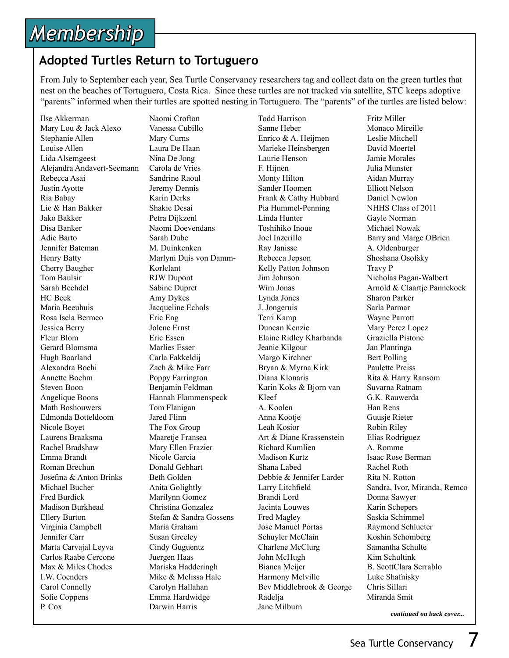# *Membership*

### **Adopted Turtles Return to Tortuguero**

From July to September each year, Sea Turtle Conservancy researchers tag and collect data on the green turtles that nest on the beaches of Tortuguero, Costa Rica. Since these turtles are not tracked via satellite, STC keeps adoptive "parents" informed when their turtles are spotted nesting in Tortuguero. The "parents" of the turtles are listed below:

Ilse Akkerman Mary Lou & Jack Alexo Stephanie Allen Louise Allen Lida Alsemgeest Alejandra Andavert-Seemann Rebecca Asai Justin Ayotte Ria Babay Lie & Han Bakker Jako Bakker Disa Banker Adie Barto Jennifer Bateman Henry Batty Cherry Baugher Tom Baulsir Sarah Bechdel HC Beek Maria Beeuhuis Rosa Isela Bermeo Jessica Berry Fleur Blom Gerard Blomsma Hugh Boarland Alexandra Boehi Annette Boehm Steven Boon Angelique Boons Math Boshouwers Edmonda Botteldoom Nicole Boyet Laurens Braaksma Rachel Bradshaw Emma Brandt Roman Brechun Josefina & Anton Brinks Michael Bucher Fred Burdick Madison Burkhead Ellery Burton Virginia Campbell Jennifer Carr Marta Carvajal Leyva Carlos Raabe Cercone Max & Miles Chodes I.W. Coenders Carol Connelly Sofie Coppens P. Cox

Naomi Crofton Vanessa Cubillo Mary Curns Laura De Haan Nina De Jong Carola de Vries Sandrine Raoul Jeremy Dennis Karin Derks Shakie Desai Petra Dijkzenl Naomi Doevendans Sarah Dube M. Duinkenken Marlyni Duis von Damm-Korlelant RJW Dupont Sabine Dupret Amy Dykes Jacqueline Echols Eric Eng Jolene Ernst Eric Essen Marlies Esser Carla Fakkeldij Zach & Mike Farr Poppy Farrington Benjamin Feldman Hannah Flammenspeck Tom Flanigan Jared Flinn The Fox Group Maaretje Fransea Mary Ellen Frazier Nicole Garcia Donald Gebhart Beth Golden Anita Golightly Marilynn Gomez Christina Gonzalez Stefan & Sandra Gossens Maria Graham Susan Greeley Cindy Guguentz Juergen Haas Mariska Hadderingh Mike & Melissa Hale Carolyn Hallahan Emma Hardwidge Darwin Harris

Todd Harrison Sanne Heber Enrico & A. Heijmen Marieke Heinsbergen Laurie Henson F. Hijnen Monty Hilton Sander Hoomen Frank & Cathy Hubbard Pia Hummel-Penning Linda Hunter Toshihiko Inoue Joel Inzerillo Ray Janisse Rebecca Jepson Kelly Patton Johnson Jim Johnson Wim Jonas Lynda Jones J. Jongeruis Terri Kamp Duncan Kenzie Elaine Ridley Kharbanda Jeanie Kilgour Margo Kirchner Bryan & Myrna Kirk Diana Klonaris Karin Koks & Bjorn van Kleef A. Koolen Anna Kootie Leah Kosior Art & Diane Krassenstein Richard Kumlien Madison Kurtz Shana Labed Debbie & Jennifer Larder Larry Litchfield Brandi Lord Jacinta Louwes Fred Magley Jose Manuel Portas Schuyler McClain Charlene McClurg John McHugh Bianca Meijer Harmony Melville Bev Middlebrook & George **Radelia** Jane Milburn

Fritz Miller Monaco Mireille Leslie Mitchell David Moertel Jamie Morales Julia Munster Aidan Murray Elliott Nelson Daniel Newlon NHHS Class of 2011 Gayle Norman Michael Nowak Barry and Marge OBrien A. Oldenburger Shoshana Osofsky Travy P Nicholas Pagan-Walbert Arnold & Claartje Pannekoek Sharon Parker Sarla Parmar Wayne Parrott Mary Perez Lopez Graziella Pistone Jan Plantinga Bert Polling Paulette Preiss Rita & Harry Ransom Suvarna Ratnam G.K. Rauwerda Han Rens Guusje Rieter Robin Riley Elias Rodriguez A. Romme Isaac Rose Berman Rachel Roth Rita N. Rotton Sandra, Ivor, Miranda, Remco Donna Sawyer Karin Schepers Saskia Schimmel Raymond Schlueter Koshin Schomberg Samantha Schulte Kim Schultink B. ScottClara Serrablo Luke Shafnisky Chris Sillari Miranda Smit

**continued on back cover...**